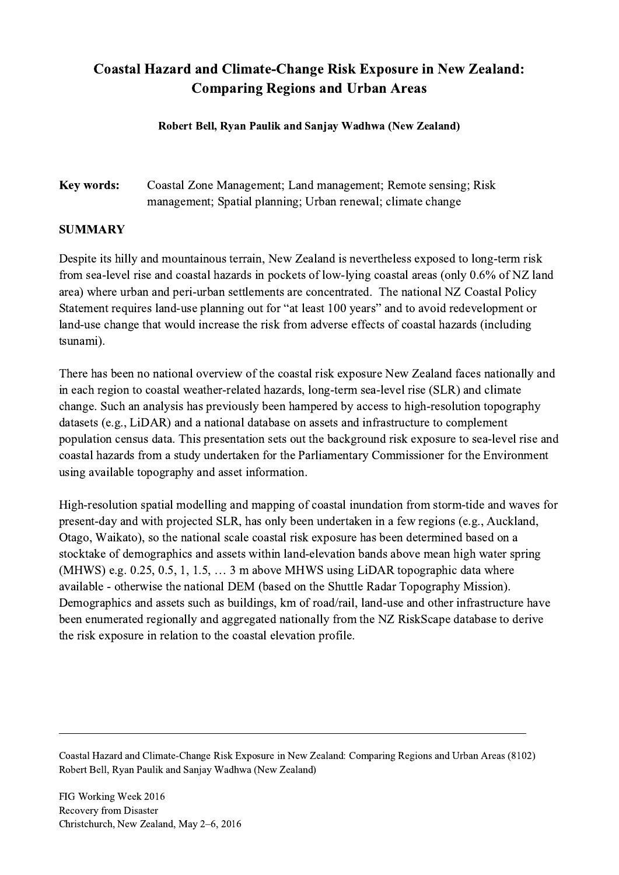## Coastal Hazard and Climate-Change Risk Exposure in New Zealand: Comparing Regions and Urban Areas

Robert Bell, Ryan Paulik and Sanjay Wadhwa (New Zealand)

Key words: Coastal Zone Management; Land management; Remote sensing; Risk management; Spatial planning; Urban renewal; climate change

## SUMMARY

Despite its hilly and mountainous terrain, New Zealand is nevertheless exposed to long-term risk from sea-level rise and coastal hazards in pockets of low-lying coastal areas (only 0.6% of NZ land area) where urban and peri-urban settlements are concentrated. The national NZ Coastal Policy Statement requires land-use planning out for "at least 100 years" and to avoid redevelopment or land-use change that would increase the risk from adverse effects of coastal hazards (including tsunami).

There has been no national overview of the coastal risk exposure New Zealand faces nationally and in each region to coastal weather-related hazards, long-term sea-level rise (SLR) and climate change. Such an analysis has previously been hampered by access to high-resolution topography datasets (e.g., LiDAR) and a national database on assets and infrastructure to complement population census data. This presentation sets out the background risk exposure to sea-level rise and coastal hazards from a study undertaken for the Parliamentary Commissioner for the Environment using available topography and asset information.

High-resolution spatial modelling and mapping of coastal inundation from storm-tide and waves for present-day and with projected SLR, has only been undertaken in a few regions (e.g., Auckland, Otago, Waikato), so the national scale coastal risk exposure has been determined based on a stocktake of demographics and assets within land-elevation bands above mean high water spring (MHWS) e.g. 0.25, 0.5, 1, 1.5, … 3 m above MHWS using LiDAR topographic data where available - otherwise the national DEM (based on the Shuttle Radar Topography Mission). Demographics and assets such as buildings, km of road/rail, land-use and other infrastructure have been enumerated regionally and aggregated nationally from the NZ RiskScape database to derive the risk exposure in relation to the coastal elevation profile.

 $\mathcal{L}_\mathcal{L} = \{ \mathcal{L}_\mathcal{L} = \{ \mathcal{L}_\mathcal{L} = \{ \mathcal{L}_\mathcal{L} = \{ \mathcal{L}_\mathcal{L} = \{ \mathcal{L}_\mathcal{L} = \{ \mathcal{L}_\mathcal{L} = \{ \mathcal{L}_\mathcal{L} = \{ \mathcal{L}_\mathcal{L} = \{ \mathcal{L}_\mathcal{L} = \{ \mathcal{L}_\mathcal{L} = \{ \mathcal{L}_\mathcal{L} = \{ \mathcal{L}_\mathcal{L} = \{ \mathcal{L}_\mathcal{L} = \{ \mathcal{L}_\mathcal{$ 

Coastal Hazard and Climate-Change Risk Exposure in New Zealand: Comparing Regions and Urban Areas (8102) Robert Bell, Ryan Paulik and Sanjay Wadhwa (New Zealand)